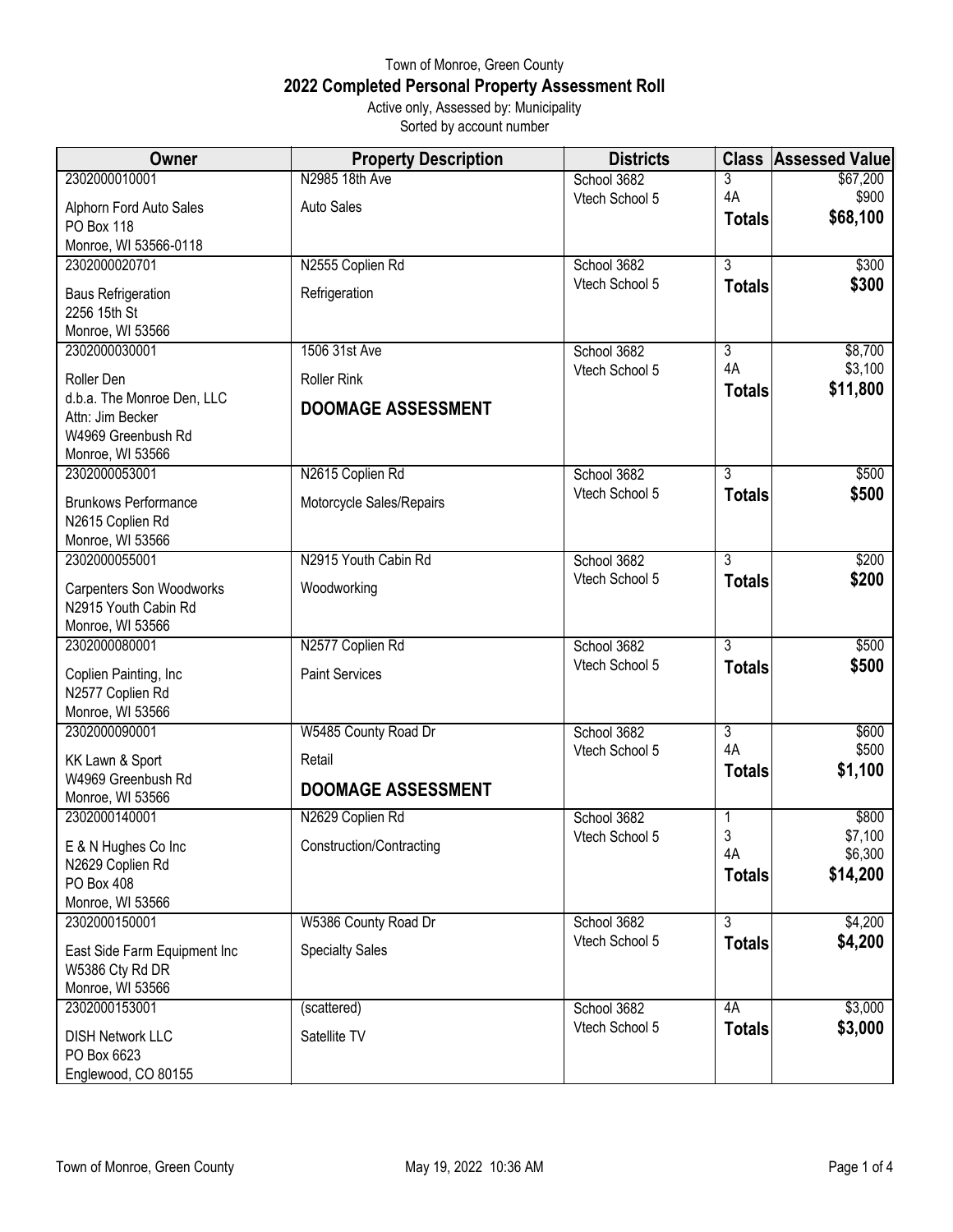## Town of Monroe, Green County **2022 Completed Personal Property Assessment Roll** Active only, Assessed by: Municipality

Sorted by account number

| Owner                                  | <b>Property Description</b> | <b>Districts</b>              | <b>Class</b>   | <b>Assessed Value</b> |
|----------------------------------------|-----------------------------|-------------------------------|----------------|-----------------------|
| 2302000010001                          | N2985 18th Ave              | School 3682                   | 3              | \$67,200              |
| Alphorn Ford Auto Sales                | <b>Auto Sales</b>           | Vtech School 5                | 4A             | \$900                 |
| <b>PO Box 118</b>                      |                             |                               | <b>Totals</b>  | \$68,100              |
| Monroe, WI 53566-0118                  |                             |                               |                |                       |
| 2302000020701                          | N2555 Coplien Rd            | School 3682                   | $\overline{3}$ | \$300                 |
| <b>Baus Refrigeration</b>              | Refrigeration               | Vtech School 5                | <b>Totals</b>  | \$300                 |
| 2256 15th St                           |                             |                               |                |                       |
| Monroe, WI 53566                       |                             |                               |                |                       |
| 2302000030001                          | 1506 31st Ave               | School 3682<br>Vtech School 5 | 3<br>4A        | \$8,700<br>\$3,100    |
| Roller Den                             | <b>Roller Rink</b>          |                               | <b>Totals</b>  | \$11,800              |
| d.b.a. The Monroe Den, LLC             | <b>DOOMAGE ASSESSMENT</b>   |                               |                |                       |
| Attn: Jim Becker<br>W4969 Greenbush Rd |                             |                               |                |                       |
| Monroe, WI 53566                       |                             |                               |                |                       |
| 2302000053001                          | N2615 Coplien Rd            | School 3682                   | $\overline{3}$ | \$500                 |
| <b>Brunkows Performance</b>            | Motorcycle Sales/Repairs    | Vtech School 5                | <b>Totals</b>  | \$500                 |
| N2615 Coplien Rd                       |                             |                               |                |                       |
| Monroe, WI 53566                       |                             |                               |                |                       |
| 2302000055001                          | N2915 Youth Cabin Rd        | School 3682                   | $\overline{3}$ | \$200                 |
| <b>Carpenters Son Woodworks</b>        | Woodworking                 | Vtech School 5                | <b>Totals</b>  | \$200                 |
| N2915 Youth Cabin Rd                   |                             |                               |                |                       |
| Monroe, WI 53566                       |                             |                               |                |                       |
| 2302000080001                          | N2577 Coplien Rd            | School 3682                   | 3              | \$500                 |
| Coplien Painting, Inc                  | <b>Paint Services</b>       | Vtech School 5                | <b>Totals</b>  | \$500                 |
| N2577 Coplien Rd                       |                             |                               |                |                       |
| Monroe, WI 53566                       |                             |                               |                |                       |
| 2302000090001                          | W5485 County Road Dr        | School 3682                   | 3<br>4A        | \$600                 |
| KK Lawn & Sport                        | Retail                      | Vtech School 5                | <b>Totals</b>  | \$500<br>\$1,100      |
| W4969 Greenbush Rd                     | <b>DOOMAGE ASSESSMENT</b>   |                               |                |                       |
| Monroe, WI 53566<br>2302000140001      |                             | School 3682                   |                | \$800                 |
|                                        | N2629 Coplien Rd            | Vtech School 5                | 3              | \$7,100               |
| E & N Hughes Co Inc                    | Construction/Contracting    |                               | 4A             | \$6,300               |
| N2629 Coplien Rd<br>PO Box 408         |                             |                               | <b>Totals</b>  | \$14,200              |
| Monroe, WI 53566                       |                             |                               |                |                       |
| 2302000150001                          | W5386 County Road Dr        | School 3682                   | $\overline{3}$ | \$4,200               |
| East Side Farm Equipment Inc           | <b>Specialty Sales</b>      | Vtech School 5                | <b>Totals</b>  | \$4,200               |
| W5386 Cty Rd DR                        |                             |                               |                |                       |
| Monroe, WI 53566                       |                             |                               |                |                       |
| 2302000153001                          | (scattered)                 | School 3682                   | 4A             | \$3,000               |
| <b>DISH Network LLC</b>                | Satellite TV                | Vtech School 5                | <b>Totals</b>  | \$3,000               |
| PO Box 6623                            |                             |                               |                |                       |
| Englewood, CO 80155                    |                             |                               |                |                       |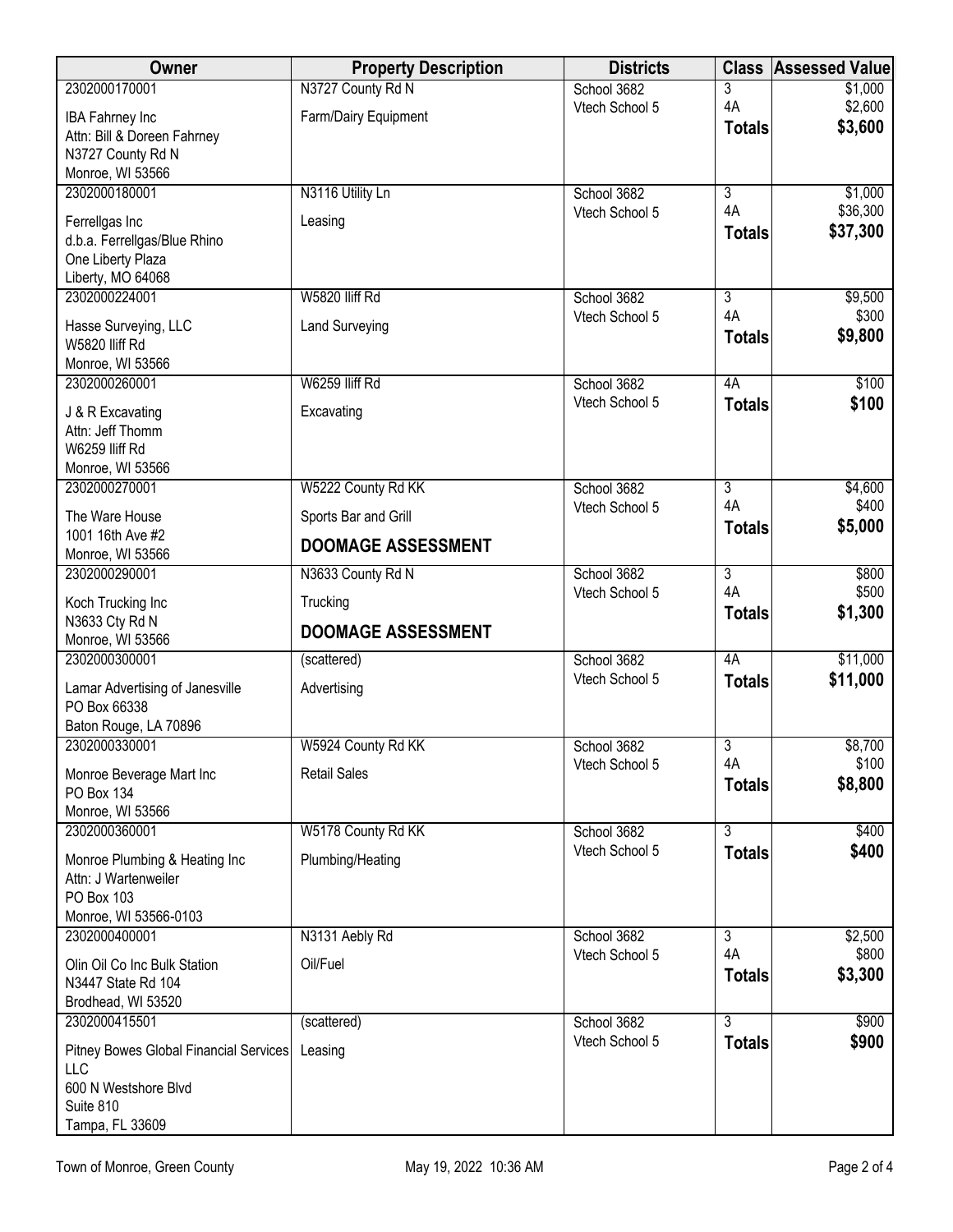| <b>Owner</b>                                       | <b>Property Description</b> | <b>Districts</b>              | <b>Class</b>         | <b>Assessed Value</b> |
|----------------------------------------------------|-----------------------------|-------------------------------|----------------------|-----------------------|
| 2302000170001                                      | N3727 County Rd N           | School 3682                   | 3                    | \$1,000               |
| <b>IBA Fahrney Inc</b>                             | Farm/Dairy Equipment        | Vtech School 5                | 4A<br><b>Totals</b>  | \$2,600<br>\$3,600    |
| Attn: Bill & Doreen Fahrney                        |                             |                               |                      |                       |
| N3727 County Rd N<br>Monroe, WI 53566              |                             |                               |                      |                       |
| 2302000180001                                      | N3116 Utility Ln            | School 3682                   | $\overline{3}$       | \$1,000               |
| Ferrellgas Inc                                     | Leasing                     | Vtech School 5                | 4A                   | \$36,300              |
| d.b.a. Ferrellgas/Blue Rhino                       |                             |                               | <b>Totals</b>        | \$37,300              |
| One Liberty Plaza                                  |                             |                               |                      |                       |
| Liberty, MO 64068                                  |                             |                               |                      |                       |
| 2302000224001                                      | W5820 lliff Rd              | School 3682<br>Vtech School 5 | $\overline{3}$<br>4A | \$9,500<br>\$300      |
| Hasse Surveying, LLC                               | <b>Land Surveying</b>       |                               | <b>Totals</b>        | \$9,800               |
| W5820 lliff Rd<br>Monroe, WI 53566                 |                             |                               |                      |                       |
| 2302000260001                                      | W6259 lliff Rd              | School 3682                   | 4A                   | \$100                 |
| J & R Excavating                                   | Excavating                  | Vtech School 5                | <b>Totals</b>        | \$100                 |
| Attn: Jeff Thomm                                   |                             |                               |                      |                       |
| W6259 lliff Rd                                     |                             |                               |                      |                       |
| Monroe, WI 53566                                   |                             |                               |                      |                       |
| 2302000270001                                      | W5222 County Rd KK          | School 3682<br>Vtech School 5 | $\overline{3}$<br>4A | \$4,600<br>\$400      |
| The Ware House                                     | Sports Bar and Grill        |                               | <b>Totals</b>        | \$5,000               |
| 1001 16th Ave #2<br>Monroe, WI 53566               | <b>DOOMAGE ASSESSMENT</b>   |                               |                      |                       |
| 2302000290001                                      | N3633 County Rd N           | School 3682                   | $\overline{3}$       | \$800                 |
| Koch Trucking Inc                                  | Trucking                    | Vtech School 5                | 4A                   | \$500                 |
| N3633 Cty Rd N                                     |                             |                               | <b>Totals</b>        | \$1,300               |
| Monroe, WI 53566                                   | <b>DOOMAGE ASSESSMENT</b>   |                               |                      |                       |
| 2302000300001                                      | (scattered)                 | School 3682                   | 4A                   | \$11,000              |
| Lamar Advertising of Janesville                    | Advertising                 | Vtech School 5                | <b>Totals</b>        | \$11,000              |
| PO Box 66338                                       |                             |                               |                      |                       |
| Baton Rouge, LA 70896<br>2302000330001             | W5924 County Rd KK          | School 3682                   | 3                    | \$8,700               |
|                                                    |                             | Vtech School 5                | 4A                   | \$100                 |
| Monroe Beverage Mart Inc<br>PO Box 134             | <b>Retail Sales</b>         |                               | <b>Totals</b>        | \$8,800               |
| Monroe, WI 53566                                   |                             |                               |                      |                       |
| 2302000360001                                      | W5178 County Rd KK          | School 3682                   | $\overline{3}$       | \$400                 |
| Monroe Plumbing & Heating Inc                      | Plumbing/Heating            | Vtech School 5                | <b>Totals</b>        | \$400                 |
| Attn: J Wartenweiler                               |                             |                               |                      |                       |
| <b>PO Box 103</b>                                  |                             |                               |                      |                       |
| Monroe, WI 53566-0103<br>2302000400001             | N3131 Aebly Rd              | School 3682                   | $\overline{3}$       | \$2,500               |
|                                                    |                             | Vtech School 5                | 4A                   | \$800                 |
| Olin Oil Co Inc Bulk Station<br>N3447 State Rd 104 | Oil/Fuel                    |                               | <b>Totals</b>        | \$3,300               |
| Brodhead, WI 53520                                 |                             |                               |                      |                       |
| 2302000415501                                      | (scattered)                 | School 3682                   | $\overline{3}$       | \$900                 |
| Pitney Bowes Global Financial Services             | Leasing                     | Vtech School 5                | <b>Totals</b>        | \$900                 |
| LLC                                                |                             |                               |                      |                       |
| 600 N Westshore Blvd                               |                             |                               |                      |                       |
| Suite 810<br>Tampa, FL 33609                       |                             |                               |                      |                       |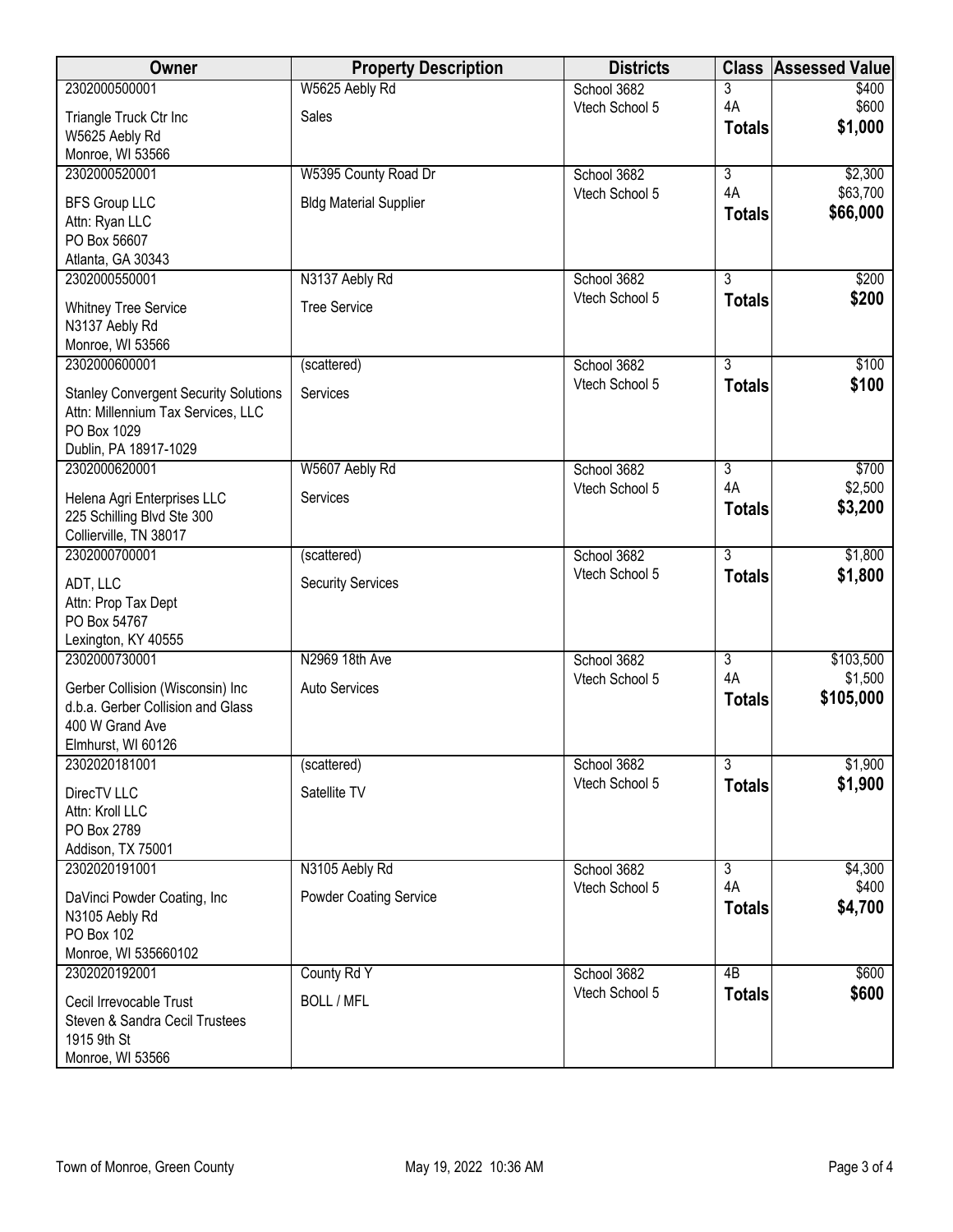| W5625 Aebly Rd<br>2302000500001<br>3<br>School 3682<br>4A<br>Vtech School 5<br>Sales<br>Triangle Truck Ctr Inc<br>\$1,000<br><b>Totals</b><br>W5625 Aebly Rd<br>Monroe, WI 53566<br>W5395 County Road Dr<br>$\overline{3}$<br>2302000520001<br>School 3682<br>4A<br>\$63,700<br>Vtech School 5<br><b>BFS Group LLC</b><br><b>Bldg Material Supplier</b><br>\$66,000<br><b>Totals</b><br>Attn: Ryan LLC<br>PO Box 56607<br>Atlanta, GA 30343<br>$\overline{3}$<br>2302000550001<br>N3137 Aebly Rd<br>School 3682<br>Vtech School 5<br><b>Totals</b><br><b>Tree Service</b><br><b>Whitney Tree Service</b><br>N3137 Aebly Rd<br>Monroe, WI 53566<br>2302000600001<br>$\overline{3}$<br>(scattered)<br>School 3682<br>Vtech School 5<br><b>Totals</b><br><b>Stanley Convergent Security Solutions</b><br>Services<br>Attn: Millennium Tax Services, LLC | <b>Assessed Value</b> |
|------------------------------------------------------------------------------------------------------------------------------------------------------------------------------------------------------------------------------------------------------------------------------------------------------------------------------------------------------------------------------------------------------------------------------------------------------------------------------------------------------------------------------------------------------------------------------------------------------------------------------------------------------------------------------------------------------------------------------------------------------------------------------------------------------------------------------------------------------|-----------------------|
|                                                                                                                                                                                                                                                                                                                                                                                                                                                                                                                                                                                                                                                                                                                                                                                                                                                      | \$400                 |
|                                                                                                                                                                                                                                                                                                                                                                                                                                                                                                                                                                                                                                                                                                                                                                                                                                                      | \$600                 |
|                                                                                                                                                                                                                                                                                                                                                                                                                                                                                                                                                                                                                                                                                                                                                                                                                                                      |                       |
|                                                                                                                                                                                                                                                                                                                                                                                                                                                                                                                                                                                                                                                                                                                                                                                                                                                      |                       |
|                                                                                                                                                                                                                                                                                                                                                                                                                                                                                                                                                                                                                                                                                                                                                                                                                                                      | \$2,300               |
|                                                                                                                                                                                                                                                                                                                                                                                                                                                                                                                                                                                                                                                                                                                                                                                                                                                      |                       |
|                                                                                                                                                                                                                                                                                                                                                                                                                                                                                                                                                                                                                                                                                                                                                                                                                                                      |                       |
|                                                                                                                                                                                                                                                                                                                                                                                                                                                                                                                                                                                                                                                                                                                                                                                                                                                      |                       |
|                                                                                                                                                                                                                                                                                                                                                                                                                                                                                                                                                                                                                                                                                                                                                                                                                                                      |                       |
|                                                                                                                                                                                                                                                                                                                                                                                                                                                                                                                                                                                                                                                                                                                                                                                                                                                      | \$200                 |
|                                                                                                                                                                                                                                                                                                                                                                                                                                                                                                                                                                                                                                                                                                                                                                                                                                                      | \$200                 |
|                                                                                                                                                                                                                                                                                                                                                                                                                                                                                                                                                                                                                                                                                                                                                                                                                                                      |                       |
|                                                                                                                                                                                                                                                                                                                                                                                                                                                                                                                                                                                                                                                                                                                                                                                                                                                      |                       |
|                                                                                                                                                                                                                                                                                                                                                                                                                                                                                                                                                                                                                                                                                                                                                                                                                                                      |                       |
|                                                                                                                                                                                                                                                                                                                                                                                                                                                                                                                                                                                                                                                                                                                                                                                                                                                      | \$100                 |
|                                                                                                                                                                                                                                                                                                                                                                                                                                                                                                                                                                                                                                                                                                                                                                                                                                                      | \$100                 |
|                                                                                                                                                                                                                                                                                                                                                                                                                                                                                                                                                                                                                                                                                                                                                                                                                                                      |                       |
| PO Box 1029                                                                                                                                                                                                                                                                                                                                                                                                                                                                                                                                                                                                                                                                                                                                                                                                                                          |                       |
| Dublin, PA 18917-1029                                                                                                                                                                                                                                                                                                                                                                                                                                                                                                                                                                                                                                                                                                                                                                                                                                |                       |
| 2302000620001<br>W5607 Aebly Rd<br>School 3682<br>$\overline{3}$                                                                                                                                                                                                                                                                                                                                                                                                                                                                                                                                                                                                                                                                                                                                                                                     | \$700                 |
| 4A<br>Vtech School 5<br>Helena Agri Enterprises LLC<br>Services                                                                                                                                                                                                                                                                                                                                                                                                                                                                                                                                                                                                                                                                                                                                                                                      | \$2,500               |
| \$3,200<br><b>Totals</b><br>225 Schilling Blvd Ste 300                                                                                                                                                                                                                                                                                                                                                                                                                                                                                                                                                                                                                                                                                                                                                                                               |                       |
| Collierville, TN 38017                                                                                                                                                                                                                                                                                                                                                                                                                                                                                                                                                                                                                                                                                                                                                                                                                               |                       |
| 2302000700001<br>$\overline{3}$<br>School 3682<br>(scattered)                                                                                                                                                                                                                                                                                                                                                                                                                                                                                                                                                                                                                                                                                                                                                                                        | \$1,800               |
| \$1,800<br>Vtech School 5<br><b>Totals</b>                                                                                                                                                                                                                                                                                                                                                                                                                                                                                                                                                                                                                                                                                                                                                                                                           |                       |
| <b>Security Services</b><br>ADT, LLC                                                                                                                                                                                                                                                                                                                                                                                                                                                                                                                                                                                                                                                                                                                                                                                                                 |                       |
| Attn: Prop Tax Dept<br>PO Box 54767                                                                                                                                                                                                                                                                                                                                                                                                                                                                                                                                                                                                                                                                                                                                                                                                                  |                       |
| Lexington, KY 40555                                                                                                                                                                                                                                                                                                                                                                                                                                                                                                                                                                                                                                                                                                                                                                                                                                  |                       |
| 2302000730001<br>N2969 18th Ave<br>School 3682<br>$\overline{3}$<br>\$103,500                                                                                                                                                                                                                                                                                                                                                                                                                                                                                                                                                                                                                                                                                                                                                                        |                       |
| 4A<br>Vtech School 5                                                                                                                                                                                                                                                                                                                                                                                                                                                                                                                                                                                                                                                                                                                                                                                                                                 | \$1,500               |
| Auto Services<br>Gerber Collision (Wisconsin) Inc<br>\$105,000<br><b>Totals</b>                                                                                                                                                                                                                                                                                                                                                                                                                                                                                                                                                                                                                                                                                                                                                                      |                       |
| d.b.a. Gerber Collision and Glass                                                                                                                                                                                                                                                                                                                                                                                                                                                                                                                                                                                                                                                                                                                                                                                                                    |                       |
| 400 W Grand Ave                                                                                                                                                                                                                                                                                                                                                                                                                                                                                                                                                                                                                                                                                                                                                                                                                                      |                       |
| Elmhurst, WI 60126                                                                                                                                                                                                                                                                                                                                                                                                                                                                                                                                                                                                                                                                                                                                                                                                                                   |                       |
| $\overline{3}$<br>2302020181001<br>(scattered)<br>School 3682                                                                                                                                                                                                                                                                                                                                                                                                                                                                                                                                                                                                                                                                                                                                                                                        | \$1,900               |
| \$1,900<br>Vtech School 5<br><b>Totals</b><br>Satellite TV<br>DirecTV LLC                                                                                                                                                                                                                                                                                                                                                                                                                                                                                                                                                                                                                                                                                                                                                                            |                       |
| Attn: Kroll LLC                                                                                                                                                                                                                                                                                                                                                                                                                                                                                                                                                                                                                                                                                                                                                                                                                                      |                       |
| PO Box 2789                                                                                                                                                                                                                                                                                                                                                                                                                                                                                                                                                                                                                                                                                                                                                                                                                                          |                       |
| Addison, TX 75001                                                                                                                                                                                                                                                                                                                                                                                                                                                                                                                                                                                                                                                                                                                                                                                                                                    |                       |
| N3105 Aebly Rd<br>2302020191001<br>School 3682<br>$\overline{3}$                                                                                                                                                                                                                                                                                                                                                                                                                                                                                                                                                                                                                                                                                                                                                                                     | \$4,300               |
| 4A<br>Vtech School 5<br><b>Powder Coating Service</b><br>DaVinci Powder Coating, Inc                                                                                                                                                                                                                                                                                                                                                                                                                                                                                                                                                                                                                                                                                                                                                                 | \$400                 |
| \$4,700<br><b>Totals</b><br>N3105 Aebly Rd                                                                                                                                                                                                                                                                                                                                                                                                                                                                                                                                                                                                                                                                                                                                                                                                           |                       |
| PO Box 102                                                                                                                                                                                                                                                                                                                                                                                                                                                                                                                                                                                                                                                                                                                                                                                                                                           |                       |
| Monroe, WI 535660102                                                                                                                                                                                                                                                                                                                                                                                                                                                                                                                                                                                                                                                                                                                                                                                                                                 |                       |
| County Rd Y<br>$\overline{AB}$<br>2302020192001<br>School 3682                                                                                                                                                                                                                                                                                                                                                                                                                                                                                                                                                                                                                                                                                                                                                                                       | \$600                 |
| Vtech School 5<br><b>Totals</b><br><b>BOLL / MFL</b><br>Cecil Irrevocable Trust                                                                                                                                                                                                                                                                                                                                                                                                                                                                                                                                                                                                                                                                                                                                                                      | \$600                 |
| Steven & Sandra Cecil Trustees                                                                                                                                                                                                                                                                                                                                                                                                                                                                                                                                                                                                                                                                                                                                                                                                                       |                       |
| 1915 9th St                                                                                                                                                                                                                                                                                                                                                                                                                                                                                                                                                                                                                                                                                                                                                                                                                                          |                       |
| Monroe, WI 53566                                                                                                                                                                                                                                                                                                                                                                                                                                                                                                                                                                                                                                                                                                                                                                                                                                     |                       |